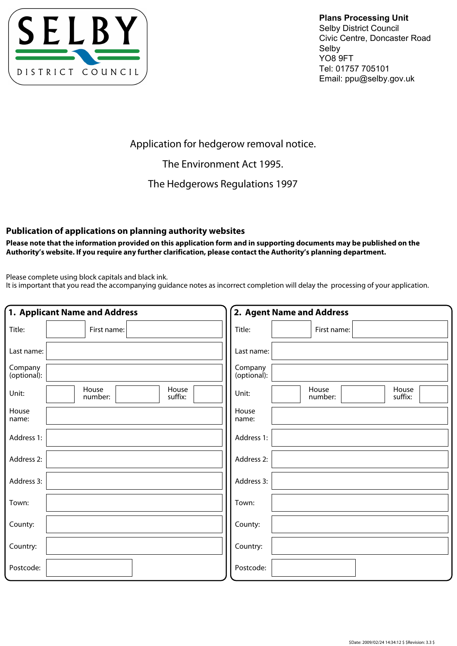

**Plans Processing Unit** Selby District Council Civic Centre, Doncaster Road Selby YO8 9FT Tel: 01757 705101 Email: ppu@selby.gov.uk

Application for hedgerow removal notice.

The Environment Act 1995.

The Hedgerows Regulations 1997

## **Publication of applications on planning authority websites**

**Please note that the information provided on this application form and in supporting documents may be published on the Authority's website. If you require any further clarification, please contact the Authority's planning department.**

Please complete using block capitals and black ink.

It is important that you read the accompanying guidance notes as incorrect completion will delay the processing of your application.

|                        | 1. Applicant Name and Address        | 2. Agent Name and Address                     |
|------------------------|--------------------------------------|-----------------------------------------------|
| Title:                 | First name:                          | Title:<br>First name:                         |
| Last name:             |                                      | Last name:                                    |
| Company<br>(optional): |                                      | Company<br>(optional):                        |
| Unit:                  | House<br>House<br>suffix:<br>number: | House<br>House<br>Unit:<br>number:<br>suffix: |
| House<br>name:         |                                      | House<br>name:                                |
| Address 1:             |                                      | Address 1:                                    |
| Address 2:             |                                      | Address 2:                                    |
| Address 3:             |                                      | Address 3:                                    |
| Town:                  |                                      | Town:                                         |
| County:                |                                      | County:                                       |
| Country:               |                                      | Country:                                      |
| Postcode:              |                                      | Postcode:                                     |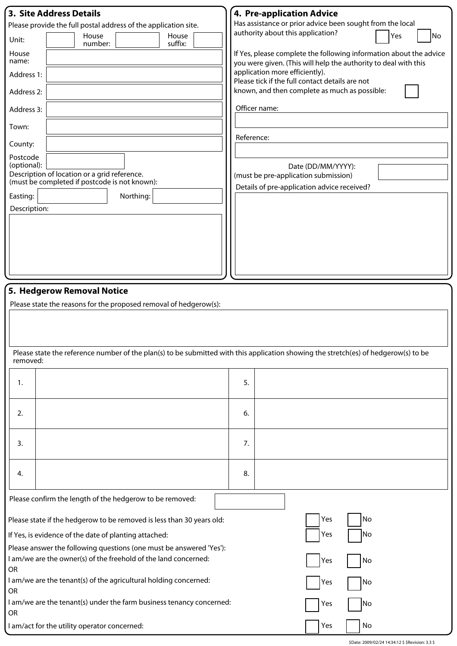| 3. Site Address Details                                                                                                             |                                                                                                                                       |  |  |  |
|-------------------------------------------------------------------------------------------------------------------------------------|---------------------------------------------------------------------------------------------------------------------------------------|--|--|--|
|                                                                                                                                     | <b>4. Pre-application Advice</b>                                                                                                      |  |  |  |
| Please provide the full postal address of the application site.                                                                     | Has assistance or prior advice been sought from the local<br>authority about this application?                                        |  |  |  |
| House<br>House<br>Unit:<br>suffix:<br>number:                                                                                       | Yes<br>No                                                                                                                             |  |  |  |
| House<br>name:                                                                                                                      | If Yes, please complete the following information about the advice<br>you were given. (This will help the authority to deal with this |  |  |  |
| Address 1:                                                                                                                          | application more efficiently).<br>Please tick if the full contact details are not                                                     |  |  |  |
| Address 2:                                                                                                                          | known, and then complete as much as possible:                                                                                         |  |  |  |
| Address 3:                                                                                                                          | Officer name:                                                                                                                         |  |  |  |
| Town:                                                                                                                               | Reference:                                                                                                                            |  |  |  |
| County:                                                                                                                             |                                                                                                                                       |  |  |  |
| Postcode<br>(optional):                                                                                                             | Date (DD/MM/YYYY):                                                                                                                    |  |  |  |
| Description of location or a grid reference.<br>(must be completed if postcode is not known):                                       | (must be pre-application submission)                                                                                                  |  |  |  |
| Easting:<br>Northing:                                                                                                               | Details of pre-application advice received?                                                                                           |  |  |  |
| Description:                                                                                                                        |                                                                                                                                       |  |  |  |
|                                                                                                                                     |                                                                                                                                       |  |  |  |
|                                                                                                                                     |                                                                                                                                       |  |  |  |
|                                                                                                                                     |                                                                                                                                       |  |  |  |
|                                                                                                                                     |                                                                                                                                       |  |  |  |
|                                                                                                                                     |                                                                                                                                       |  |  |  |
|                                                                                                                                     |                                                                                                                                       |  |  |  |
| 5. Hedgerow Removal Notice                                                                                                          |                                                                                                                                       |  |  |  |
|                                                                                                                                     |                                                                                                                                       |  |  |  |
| Please state the reasons for the proposed removal of hedgerow(s):                                                                   |                                                                                                                                       |  |  |  |
|                                                                                                                                     |                                                                                                                                       |  |  |  |
|                                                                                                                                     |                                                                                                                                       |  |  |  |
|                                                                                                                                     |                                                                                                                                       |  |  |  |
| Please state the reference number of the plan(s) to be submitted with this application showing the stretch(es) of hedgerow(s) to be |                                                                                                                                       |  |  |  |
| removed:                                                                                                                            |                                                                                                                                       |  |  |  |
|                                                                                                                                     |                                                                                                                                       |  |  |  |
| 1.                                                                                                                                  | 5.                                                                                                                                    |  |  |  |
|                                                                                                                                     |                                                                                                                                       |  |  |  |
| 2.                                                                                                                                  | 6.                                                                                                                                    |  |  |  |
|                                                                                                                                     |                                                                                                                                       |  |  |  |
| 3.                                                                                                                                  | 7.                                                                                                                                    |  |  |  |
|                                                                                                                                     |                                                                                                                                       |  |  |  |
| 4.                                                                                                                                  | 8.                                                                                                                                    |  |  |  |
| Please confirm the length of the hedgerow to be removed:                                                                            |                                                                                                                                       |  |  |  |
|                                                                                                                                     |                                                                                                                                       |  |  |  |
| Please state if the hedgerow to be removed is less than 30 years old:                                                               | Yes<br>No                                                                                                                             |  |  |  |
| Yes<br> No<br>If Yes, is evidence of the date of planting attached:                                                                 |                                                                                                                                       |  |  |  |
| Please answer the following questions (one must be answered 'Yes'):                                                                 |                                                                                                                                       |  |  |  |
| I am/we are the owner(s) of the freehold of the land concerned:<br>No<br>Yes                                                        |                                                                                                                                       |  |  |  |
| OR                                                                                                                                  |                                                                                                                                       |  |  |  |
| I am/we are the tenant(s) of the agricultural holding concerned:<br>OR                                                              | Yes<br>No                                                                                                                             |  |  |  |
| I am/we are the tenant(s) under the farm business tenancy concerned:                                                                |                                                                                                                                       |  |  |  |
| OR                                                                                                                                  | No<br>Yes                                                                                                                             |  |  |  |
| I am/act for the utility operator concerned:                                                                                        | No<br>Yes                                                                                                                             |  |  |  |

\$Date: 2009/02/24 14:34:12 \$ \$Revision: 3.3 \$